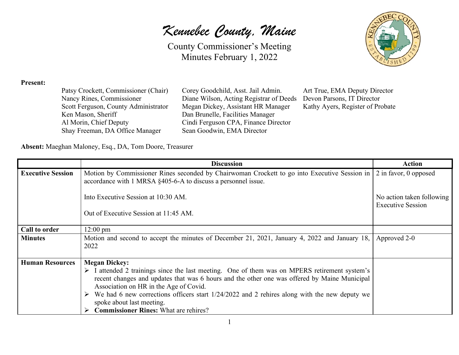*Kennebec County, Maine*

County Commissioner's Meeting Minutes February 1, 2022



#### **Present:**

| Patsy Crockett, Commissioner (Chair) |
|--------------------------------------|
| Nancy Rines, Commissioner            |
| Scott Ferguson, County Administrator |
| Ken Mason, Sheriff                   |
| Al Morin, Chief Deputy               |
| Shay Freeman, DA Office Manager      |

Corey Goodchild, Asst. Jail Admin. Art True, EMA Deputy Director<br>Diane Wilson, Acting Registrar of Deeds Devon Parsons, IT Director Diane Wilson, Acting Registrar of Deeds Megan Dickey, Assistant HR Manager Kathy Ayers, Register of Probate Dan Brunelle, Facilities Manager Cindi Ferguson CPA, Finance Director Sean Goodwin, EMA Director

**Absent:** Maeghan Maloney, Esq., DA, Tom Doore, Treasurer

|                          | <b>Discussion</b>                                                                                                                                                                                                                                                                                                                                                                                                                                           | <b>Action</b>                                         |
|--------------------------|-------------------------------------------------------------------------------------------------------------------------------------------------------------------------------------------------------------------------------------------------------------------------------------------------------------------------------------------------------------------------------------------------------------------------------------------------------------|-------------------------------------------------------|
| <b>Executive Session</b> | Motion by Commissioner Rines seconded by Chairwoman Crockett to go into Executive Session in 2 in favor, 0 opposed<br>accordance with 1 MRSA §405-6-A to discuss a personnel issue.                                                                                                                                                                                                                                                                         |                                                       |
|                          | Into Executive Session at 10:30 AM.                                                                                                                                                                                                                                                                                                                                                                                                                         | No action taken following<br><b>Executive Session</b> |
|                          | Out of Executive Session at 11:45 AM.                                                                                                                                                                                                                                                                                                                                                                                                                       |                                                       |
| Call to order            | $12:00 \text{ pm}$                                                                                                                                                                                                                                                                                                                                                                                                                                          |                                                       |
| <b>Minutes</b>           | Motion and second to accept the minutes of December 21, 2021, January 4, 2022 and January 18,<br>2022                                                                                                                                                                                                                                                                                                                                                       | Approved 2-0                                          |
| <b>Human Resources</b>   | <b>Megan Dickey:</b><br>$\triangleright$ I attended 2 trainings since the last meeting. One of them was on MPERS retirement system's<br>recent changes and updates that was 6 hours and the other one was offered by Maine Municipal<br>Association on HR in the Age of Covid.<br>We had 6 new corrections officers start 1/24/2022 and 2 rehires along with the new deputy we<br>spoke about last meeting.<br><b>Commissioner Rines:</b> What are rehires? |                                                       |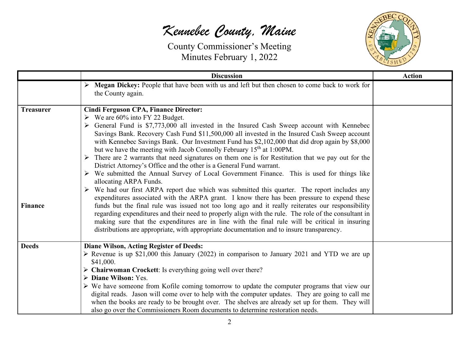

|                  | <b>Discussion</b>                                                                                                                                                                                                                                                                                                                                                                                                                                                                                                                                                                                                                                                                                                                                                                                                                                                                                                                                   | <b>Action</b> |
|------------------|-----------------------------------------------------------------------------------------------------------------------------------------------------------------------------------------------------------------------------------------------------------------------------------------------------------------------------------------------------------------------------------------------------------------------------------------------------------------------------------------------------------------------------------------------------------------------------------------------------------------------------------------------------------------------------------------------------------------------------------------------------------------------------------------------------------------------------------------------------------------------------------------------------------------------------------------------------|---------------|
|                  | $\triangleright$ Megan Dickey: People that have been with us and left but then chosen to come back to work for<br>the County again.                                                                                                                                                                                                                                                                                                                                                                                                                                                                                                                                                                                                                                                                                                                                                                                                                 |               |
| <b>Treasurer</b> | <b>Cindi Ferguson CPA, Finance Director:</b><br>$\triangleright$ We are 60% into FY 22 Budget.<br>$\triangleright$ General Fund is \$7,773,000 all invested in the Insured Cash Sweep account with Kennebec<br>Savings Bank. Recovery Cash Fund \$11,500,000 all invested in the Insured Cash Sweep account<br>with Kennebec Savings Bank. Our Investment Fund has \$2,102,000 that did drop again by \$8,000<br>but we have the meeting with Jacob Connolly February 15 <sup>th</sup> at 1:00PM.<br>$\triangleright$ There are 2 warrants that need signatures on them one is for Restitution that we pay out for the<br>District Attorney's Office and the other is a General Fund warrant.<br>$\triangleright$ We submitted the Annual Survey of Local Government Finance. This is used for things like<br>allocating ARPA Funds.<br>$\triangleright$ We had our first ARPA report due which was submitted this quarter. The report includes any |               |
| <b>Finance</b>   | expenditures associated with the ARPA grant. I know there has been pressure to expend these<br>funds but the final rule was issued not too long ago and it really reiterates our responsibility<br>regarding expenditures and their need to properly align with the rule. The role of the consultant in<br>making sure that the expenditures are in line with the final rule will be critical in insuring<br>distributions are appropriate, with appropriate documentation and to insure transparency.                                                                                                                                                                                                                                                                                                                                                                                                                                              |               |
| <b>Deeds</b>     | <b>Diane Wilson, Acting Register of Deeds:</b><br>$\triangleright$ Revenue is up \$21,000 this January (2022) in comparison to January 2021 and YTD we are up<br>\$41,000.<br>$\triangleright$ Chairwoman Crockett: Is everything going well over there?<br>$\triangleright$ Diane Wilson: Yes.<br>$\triangleright$ We have someone from Kofile coming tomorrow to update the computer programs that view our<br>digital reads. Jason will come over to help with the computer updates. They are going to call me<br>when the books are ready to be brought over. The shelves are already set up for them. They will<br>also go over the Commissioners Room documents to determine restoration needs.                                                                                                                                                                                                                                               |               |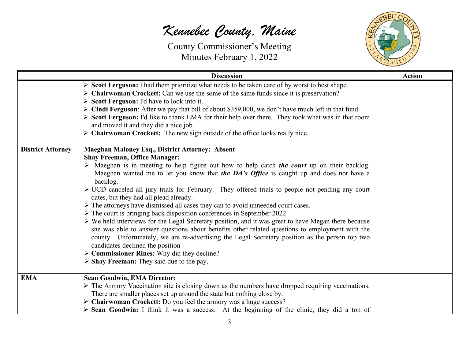

|                          | <b>Discussion</b>                                                                                                                                                                                                                                                                                                                                                                                                                                                                                                                                                                                                                                                                                                                                                                                                                                                                                                                                                                                                                                                                                                                                     | <b>Action</b> |
|--------------------------|-------------------------------------------------------------------------------------------------------------------------------------------------------------------------------------------------------------------------------------------------------------------------------------------------------------------------------------------------------------------------------------------------------------------------------------------------------------------------------------------------------------------------------------------------------------------------------------------------------------------------------------------------------------------------------------------------------------------------------------------------------------------------------------------------------------------------------------------------------------------------------------------------------------------------------------------------------------------------------------------------------------------------------------------------------------------------------------------------------------------------------------------------------|---------------|
|                          | Scott Ferguson: I had them prioritize what needs to be taken care of by worst to best shape.<br>$\triangleright$ Chairwoman Crockett: Can we use the some of the same funds since it is preservation?<br>$\triangleright$ Scott Ferguson: I'd have to look into it.<br>$\triangleright$ Cindi Ferguson: After we pay that bill of about \$359,000, we don't have much left in that fund.<br>Scott Ferguson: I'd like to thank EMA for their help over there. They took what was in that room<br>and moved it and they did a nice job.<br>$\triangleright$ Chairwoman Crockett: The new sign outside of the office looks really nice.                                                                                                                                                                                                                                                                                                                                                                                                                                                                                                                  |               |
| <b>District Attorney</b> | <b>Maeghan Maloney Esq., District Attorney: Absent</b><br><b>Shay Freeman, Office Manager:</b><br>$\triangleright$ Maeghan is in meeting to help figure out how to help catch <i>the court</i> up on their backlog.<br>Maeghan wanted me to let you know that <i>the DA's Office</i> is caught up and does not have a<br>backlog.<br>> UCD canceled all jury trials for February. They offered trials to people not pending any court<br>dates, but they had all plead already.<br>> The attorneys have dismissed all cases they can to avoid unneeded court cases.<br>$\triangleright$ The court is bringing back disposition conferences in September 2022<br>$\triangleright$ We held interviews for the Legal Secretary position, and it was great to have Megan there because<br>she was able to answer questions about benefits other related questions to employment with the<br>county. Unfortunately, we are re-advertising the Legal Secretary position as the person top two<br>candidates declined the position<br>$\triangleright$ Commissioner Rines: Why did they decline?<br>$\triangleright$ Shay Freeman: They said due to the pay. |               |
| <b>EMA</b>               | <b>Sean Goodwin, EMA Director:</b><br>$\triangleright$ The Armory Vaccination site is closing down as the numbers have dropped requiring vaccinations.<br>There are smaller places set up around the state but nothing close by.<br>> Chairwoman Crockett: Do you feel the armory was a huge success?<br>$\triangleright$ Sean Goodwin: I think it was a success. At the beginning of the clinic, they did a ton of                                                                                                                                                                                                                                                                                                                                                                                                                                                                                                                                                                                                                                                                                                                                   |               |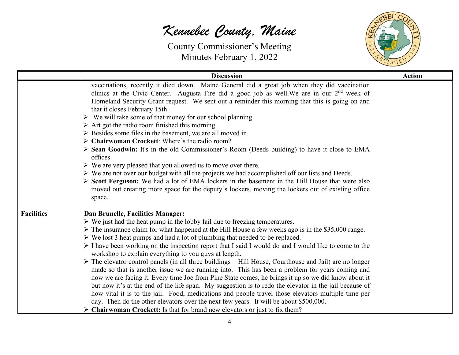

|                   | <b>Discussion</b>                                                                                                                                                                                                                                                                                                                                                                                                                                                                                                                                                                                                                                                                                                                                                                                                                                                                                                                                                                                                                                                                                                                                                                                                                                      | <b>Action</b> |
|-------------------|--------------------------------------------------------------------------------------------------------------------------------------------------------------------------------------------------------------------------------------------------------------------------------------------------------------------------------------------------------------------------------------------------------------------------------------------------------------------------------------------------------------------------------------------------------------------------------------------------------------------------------------------------------------------------------------------------------------------------------------------------------------------------------------------------------------------------------------------------------------------------------------------------------------------------------------------------------------------------------------------------------------------------------------------------------------------------------------------------------------------------------------------------------------------------------------------------------------------------------------------------------|---------------|
|                   | vaccinations, recently it died down. Maine General did a great job when they did vaccination<br>clinics at the Civic Center. Augusta Fire did a good job as well. We are in our $2nd$ week of<br>Homeland Security Grant request. We sent out a reminder this morning that this is going on and<br>that it closes February 15th.<br>$\triangleright$ We will take some of that money for our school planning.<br>$\triangleright$ Art got the radio room finished this morning.<br>$\triangleright$ Besides some files in the basement, we are all moved in.<br>$\triangleright$ Chairwoman Crockett: Where's the radio room?<br>> Sean Goodwin: It's in the old Commissioner's Room (Deeds building) to have it close to EMA<br>offices.<br>$\triangleright$ We are very pleased that you allowed us to move over there.<br>$\triangleright$ We are not over our budget with all the projects we had accomplished off our lists and Deeds.<br>> Scott Ferguson: We had a lot of EMA lockers in the basement in the Hill House that were also<br>moved out creating more space for the deputy's lockers, moving the lockers out of existing office<br>space.                                                                                           |               |
| <b>Facilities</b> | Dan Brunelle, Facilities Manager:<br>$\triangleright$ We just had the heat pump in the lobby fail due to freezing temperatures.<br>> The insurance claim for what happened at the Hill House a few weeks ago is in the \$35,000 range.<br>$\triangleright$ We lost 3 heat pumps and had a lot of plumbing that needed to be replaced.<br>$\triangleright$ I have been working on the inspection report that I said I would do and I would like to come to the<br>workshop to explain everything to you guys at length.<br>$\triangleright$ The elevator control panels (in all three buildings – Hill House, Courthouse and Jail) are no longer<br>made so that is another issue we are running into. This has been a problem for years coming and<br>now we are facing it. Every time Joe from Pine State comes, he brings it up so we did know about it<br>but now it's at the end of the life span. My suggestion is to redo the elevator in the jail because of<br>how vital it is to the jail. Food, medications and people travel those elevators multiple time per<br>day. Then do the other elevators over the next few years. It will be about \$500,000.<br><b>Chairwoman Crockett:</b> Is that for brand new elevators or just to fix them? |               |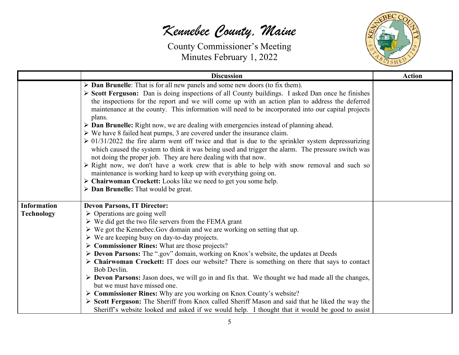

|                                         | <b>Discussion</b>                                                                                                                                                                                                                                                                                                                                                                                                                                                                                                                                                                                                                                                                                                                                                                                                                                                                                                                                                                                                                                                                                                                                                                                                             | <b>Action</b> |
|-----------------------------------------|-------------------------------------------------------------------------------------------------------------------------------------------------------------------------------------------------------------------------------------------------------------------------------------------------------------------------------------------------------------------------------------------------------------------------------------------------------------------------------------------------------------------------------------------------------------------------------------------------------------------------------------------------------------------------------------------------------------------------------------------------------------------------------------------------------------------------------------------------------------------------------------------------------------------------------------------------------------------------------------------------------------------------------------------------------------------------------------------------------------------------------------------------------------------------------------------------------------------------------|---------------|
|                                         | $\triangleright$ Dan Brunelle: That is for all new panels and some new doors (to fix them).<br>> Scott Ferguson: Dan is doing inspections of all County buildings. I asked Dan once he finishes<br>the inspections for the report and we will come up with an action plan to address the deferred<br>maintenance at the county. This information will need to be incorporated into our capital projects<br>plans.<br>$\triangleright$ Dan Brunelle: Right now, we are dealing with emergencies instead of planning ahead.<br>$\triangleright$ We have 8 failed heat pumps, 3 are covered under the insurance claim.<br>$\geq 01/31/2022$ the fire alarm went off twice and that is due to the sprinkler system depressurizing<br>which caused the system to think it was being used and trigger the alarm. The pressure switch was<br>not doing the proper job. They are here dealing with that now.<br>$\triangleright$ Right now, we don't have a work crew that is able to help with snow removal and such so<br>maintenance is working hard to keep up with everything going on.<br>$\triangleright$ Chairwoman Crockett: Looks like we need to get you some help.<br>$\triangleright$ Dan Brunelle: That would be great. |               |
| <b>Information</b><br><b>Technology</b> | <b>Devon Parsons, IT Director:</b><br>$\triangleright$ Operations are going well<br>$\triangleright$ We did get the two file servers from the FEMA grant<br>$\triangleright$ We got the Kennebec. Gov domain and we are working on setting that up.<br>$\triangleright$ We are keeping busy on day-to-day projects.<br>$\triangleright$ Commissioner Rines: What are those projects?<br>> Devon Parsons: The ".gov" domain, working on Knox's website, the updates at Deeds<br>$\triangleright$ Chairwoman Crockett: IT does our website? There is something on there that says to contact<br>Bob Devlin.<br>> Devon Parsons: Jason does, we will go in and fix that. We thought we had made all the changes,<br>but we must have missed one.<br>$\triangleright$ Commissioner Rines: Why are you working on Knox County's website?<br>> Scott Ferguson: The Sheriff from Knox called Sheriff Mason and said that he liked the way the<br>Sheriff's website looked and asked if we would help. I thought that it would be good to assist                                                                                                                                                                                      |               |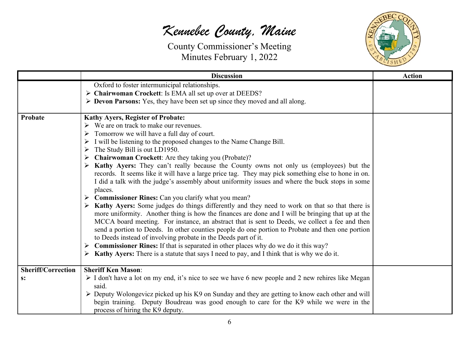

|                           | <b>Discussion</b>                                                                                               | <b>Action</b> |
|---------------------------|-----------------------------------------------------------------------------------------------------------------|---------------|
|                           | Oxford to foster intermunicipal relationships.                                                                  |               |
|                           | > Chairwoman Crockett: Is EMA all set up over at DEEDS?                                                         |               |
|                           | > Devon Parsons: Yes, they have been set up since they moved and all along.                                     |               |
| Probate                   | <b>Kathy Ayers, Register of Probate:</b>                                                                        |               |
|                           | $\triangleright$ We are on track to make our revenues.                                                          |               |
|                           | Tomorrow we will have a full day of court.                                                                      |               |
|                           | I will be listening to the proposed changes to the Name Change Bill.<br>➤                                       |               |
|                           | The Study Bill is out LD1950.<br>➤                                                                              |               |
|                           | Chairwoman Crockett: Are they taking you (Probate)?<br>➤                                                        |               |
|                           | <b>Kathy Ayers:</b> They can't really because the County owns not only us (employees) but the                   |               |
|                           | records. It seems like it will have a large price tag. They may pick something else to hone in on.              |               |
|                           | I did a talk with the judge's assembly about uniformity issues and where the buck stops in some                 |               |
|                           | places.                                                                                                         |               |
|                           | Commissioner Rines: Can you clarify what you mean?                                                              |               |
|                           | <b>Kathy Ayers:</b> Some judges do things differently and they need to work on that so that there is            |               |
|                           | more uniformity. Another thing is how the finances are done and I will be bringing that up at the               |               |
|                           | MCCA board meeting. For instance, an abstract that is sent to Deeds, we collect a fee and then                  |               |
|                           | send a portion to Deeds. In other counties people do one portion to Probate and then one portion                |               |
|                           | to Deeds instead of involving probate in the Deeds part of it.                                                  |               |
|                           | <b>Commissioner Rines:</b> If that is separated in other places why do we do it this way?<br>➤                  |               |
|                           | <b>Kathy Ayers:</b> There is a statute that says I need to pay, and I think that is why we do it.<br>➤          |               |
|                           |                                                                                                                 |               |
| <b>Sheriff/Correction</b> | <b>Sheriff Ken Mason:</b>                                                                                       |               |
| s:                        | I don't have a lot on my end, it's nice to see we have 6 new people and 2 new rehires like Megan                |               |
|                           | said.                                                                                                           |               |
|                           | $\triangleright$ Deputy Wolongevicz picked up his K9 on Sunday and they are getting to know each other and will |               |
|                           | begin training. Deputy Boudreau was good enough to care for the K9 while we were in the                         |               |
|                           | process of hiring the K9 deputy.                                                                                |               |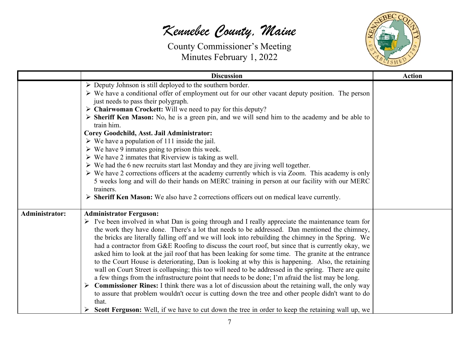

|                       | <b>Discussion</b>                                                                                                                                                                                                                                                                                                                                                                                                                                                                                                                                                                                                                                                                                                                                                                                                                                                                                                                                                                                                                                                                                                                                                                                                                  | <b>Action</b> |
|-----------------------|------------------------------------------------------------------------------------------------------------------------------------------------------------------------------------------------------------------------------------------------------------------------------------------------------------------------------------------------------------------------------------------------------------------------------------------------------------------------------------------------------------------------------------------------------------------------------------------------------------------------------------------------------------------------------------------------------------------------------------------------------------------------------------------------------------------------------------------------------------------------------------------------------------------------------------------------------------------------------------------------------------------------------------------------------------------------------------------------------------------------------------------------------------------------------------------------------------------------------------|---------------|
|                       | $\triangleright$ Deputy Johnson is still deployed to the southern border.<br>$\triangleright$ We have a conditional offer of employment out for our other vacant deputy position. The person<br>just needs to pass their polygraph.<br>$\triangleright$ Chairwoman Crockett: Will we need to pay for this deputy?<br>> Sheriff Ken Mason: No, he is a green pin, and we will send him to the academy and be able to<br>train him.<br>Corey Goodchild, Asst. Jail Administrator:<br>$\triangleright$ We have a population of 111 inside the jail.<br>$\triangleright$ We have 9 inmates going to prison this week.<br>$\triangleright$ We have 2 inmates that Riverview is taking as well.<br>$\triangleright$ We had the 6 new recruits start last Monday and they are jiving well together.<br>$\triangleright$ We have 2 corrections officers at the academy currently which is via Zoom. This academy is only<br>5 weeks long and will do their hands on MERC training in person at our facility with our MERC<br>trainers.<br>$\triangleright$ Sheriff Ken Mason: We also have 2 corrections officers out on medical leave currently.                                                                                          |               |
| <b>Administrator:</b> | <b>Administrator Ferguson:</b><br>$\triangleright$ I've been involved in what Dan is going through and I really appreciate the maintenance team for<br>the work they have done. There's a lot that needs to be addressed. Dan mentioned the chimney,<br>the bricks are literally falling off and we will look into rebuilding the chimney in the Spring. We<br>had a contractor from G&E Roofing to discuss the court roof, but since that is currently okay, we<br>asked him to look at the jail roof that has been leaking for some time. The granite at the entrance<br>to the Court House is deteriorating, Dan is looking at why this is happening. Also, the retaining<br>wall on Court Street is collapsing; this too will need to be addressed in the spring. There are quite<br>a few things from the infrastructure point that needs to be done; I'm afraid the list may be long.<br>$\triangleright$ Commissioner Rines: I think there was a lot of discussion about the retaining wall, the only way<br>to assure that problem wouldn't occur is cutting down the tree and other people didn't want to do<br>that.<br>Scott Ferguson: Well, if we have to cut down the tree in order to keep the retaining wall up, we |               |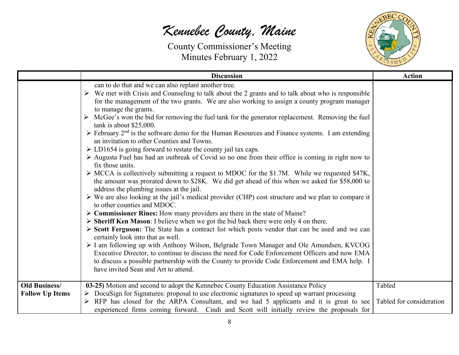

|                                                | <b>Discussion</b>                                                                                                                                                                                                                                                                                                                                                                                                                                                                                                                                                                                                                                                                                                                                                                                                                                                                                                                                                                                                                                                                                                                                                                                                                                                                                                                                                                                                                                                                                                                                                                                                                                                                                                                                                                                                                                                                                                        | <b>Action</b>                      |
|------------------------------------------------|--------------------------------------------------------------------------------------------------------------------------------------------------------------------------------------------------------------------------------------------------------------------------------------------------------------------------------------------------------------------------------------------------------------------------------------------------------------------------------------------------------------------------------------------------------------------------------------------------------------------------------------------------------------------------------------------------------------------------------------------------------------------------------------------------------------------------------------------------------------------------------------------------------------------------------------------------------------------------------------------------------------------------------------------------------------------------------------------------------------------------------------------------------------------------------------------------------------------------------------------------------------------------------------------------------------------------------------------------------------------------------------------------------------------------------------------------------------------------------------------------------------------------------------------------------------------------------------------------------------------------------------------------------------------------------------------------------------------------------------------------------------------------------------------------------------------------------------------------------------------------------------------------------------------------|------------------------------------|
|                                                | can to do that and we can also replant another tree.<br>$\triangleright$ We met with Crisis and Counseling to talk about the 2 grants and to talk about who is responsible<br>for the management of the two grants. We are also working to assign a county program manager<br>to manage the grants.<br>McGee's won the bid for removing the fuel tank for the generator replacement. Removing the fuel<br>tank is about $$25,000$ .<br>$\triangleright$ February 2 <sup>nd</sup> is the software demo for the Human Resources and Finance systems. I am extending<br>an invitation to other Counties and Towns.<br>$\triangleright$ LD1654 is going forward to restate the county jail tax caps.<br>> Augusta Fuel has had an outbreak of Covid so no one from their office is coming in right now to<br>fix those units.<br>$\triangleright$ MCCA is collectively submitting a request to MDOC for the \$1.7M. While we requested \$47K,<br>the amount was prorated down to \$28K. We did get ahead of this when we asked for \$58,000 to<br>address the plumbing issues at the jail.<br>$\triangleright$ We are also looking at the jail's medical provider (CHP) cost structure and we plan to compare it<br>to other counties and MDOC.<br>$\triangleright$ Commissioner Rines: How many providers are there in the state of Maine?<br>$\triangleright$ Sheriff Ken Mason: I believe when we got the bid back there were only 4 on there.<br>> Scott Ferguson: The State has a contract list which posts vendor that can be used and we can<br>certainly look into that as well.<br>> I am following up with Anthony Wilson, Belgrade Town Manager and Ole Amundsen, KVCOG<br>Executive Director, to continue to discuss the need for Code Enforcement Officers and now EMA<br>to discuss a possible partnership with the County to provide Code Enforcement and EMA help. I<br>have invited Sean and Art to attend. |                                    |
| <b>Old Business/</b><br><b>Follow Up Items</b> | 03-25) Motion and second to adopt the Kennebec County Education Assistance Policy<br>$\triangleright$ DocuSign for Signatures: proposal to use electronic signatures to speed up warrant processing<br>RFP has closed for the ARPA Consultant, and we had 5 applicants and it is great to see<br>experienced firms coming forward. Cindi and Scott will initially review the proposals for                                                                                                                                                                                                                                                                                                                                                                                                                                                                                                                                                                                                                                                                                                                                                                                                                                                                                                                                                                                                                                                                                                                                                                                                                                                                                                                                                                                                                                                                                                                               | Tabled<br>Tabled for consideration |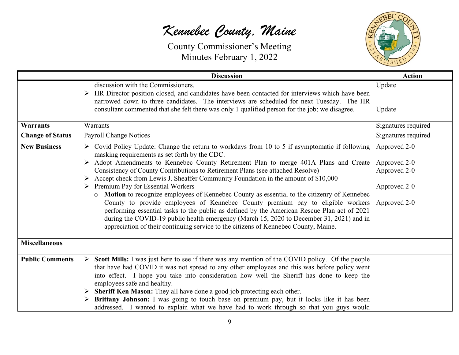

|                         | <b>Discussion</b>                                                                                                                                                                                                                                                                                                                                                                                                                                                                                                                                                                                                                                                                                                                                                                                                                                                                                                                                                        | <b>Action</b>                                                                |
|-------------------------|--------------------------------------------------------------------------------------------------------------------------------------------------------------------------------------------------------------------------------------------------------------------------------------------------------------------------------------------------------------------------------------------------------------------------------------------------------------------------------------------------------------------------------------------------------------------------------------------------------------------------------------------------------------------------------------------------------------------------------------------------------------------------------------------------------------------------------------------------------------------------------------------------------------------------------------------------------------------------|------------------------------------------------------------------------------|
|                         | discussion with the Commissioners.<br>HR Director position closed, and candidates have been contacted for interviews which have been<br>➤<br>narrowed down to three candidates. The interviews are scheduled for next Tuesday. The HR<br>consultant commented that she felt there was only 1 qualified person for the job; we disagree.                                                                                                                                                                                                                                                                                                                                                                                                                                                                                                                                                                                                                                  | Update<br>Update                                                             |
| <b>Warrants</b>         | Warrants                                                                                                                                                                                                                                                                                                                                                                                                                                                                                                                                                                                                                                                                                                                                                                                                                                                                                                                                                                 | Signatures required                                                          |
| <b>Change of Status</b> | <b>Payroll Change Notices</b>                                                                                                                                                                                                                                                                                                                                                                                                                                                                                                                                                                                                                                                                                                                                                                                                                                                                                                                                            | Signatures required                                                          |
| <b>New Business</b>     | $\triangleright$ Covid Policy Update: Change the return to workdays from 10 to 5 if asymptomatic if following<br>masking requirements as set forth by the CDC.<br>> Adopt Amendments to Kennebec County Retirement Plan to merge 401A Plans and Create  <br>Consistency of County Contributions to Retirement Plans (see attached Resolve)<br>$\triangleright$ Accept check from Lewis J. Sheaffer Community Foundation in the amount of \$10,000<br>Premium Pay for Essential Workers<br>➤<br>Motion to recognize employees of Kennebec County as essential to the citizenry of Kennebec<br>$\circ$<br>County to provide employees of Kennebec County premium pay to eligible workers<br>performing essential tasks to the public as defined by the American Rescue Plan act of 2021<br>during the COVID-19 public health emergency (March 15, 2020 to December 31, 2021) and in<br>appreciation of their continuing service to the citizens of Kennebec County, Maine. | Approved 2-0<br>Approved 2-0<br>Approved 2-0<br>Approved 2-0<br>Approved 2-0 |
| <b>Miscellaneous</b>    |                                                                                                                                                                                                                                                                                                                                                                                                                                                                                                                                                                                                                                                                                                                                                                                                                                                                                                                                                                          |                                                                              |
| <b>Public Comments</b>  | Scott Mills: I was just here to see if there was any mention of the COVID policy. Of the people<br>that have had COVID it was not spread to any other employees and this was before policy went<br>into effect. I hope you take into consideration how well the Sheriff has done to keep the<br>employees safe and healthy.<br>Sheriff Ken Mason: They all have done a good job protecting each other.<br>Brittany Johnson: I was going to touch base on premium pay, but it looks like it has been<br>addressed. I wanted to explain what we have had to work through so that you guys would                                                                                                                                                                                                                                                                                                                                                                            |                                                                              |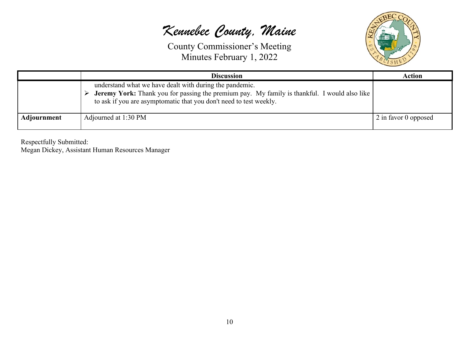County Commissioner's Meeting Minutes February 1, 2022



|                    | <b>Discussion</b>                                                                                                                                                                                                                    | <b>Action</b>        |
|--------------------|--------------------------------------------------------------------------------------------------------------------------------------------------------------------------------------------------------------------------------------|----------------------|
|                    | understand what we have dealt with during the pandemic.<br><b>Jeremy York:</b> Thank you for passing the premium pay. My family is thankful. I would also like<br>to ask if you are asymptomatic that you don't need to test weekly. |                      |
| <b>Adjournment</b> | Adjourned at 1:30 PM                                                                                                                                                                                                                 | 2 in favor 0 opposed |

Respectfully Submitted:

Megan Dickey, Assistant Human Resources Manager